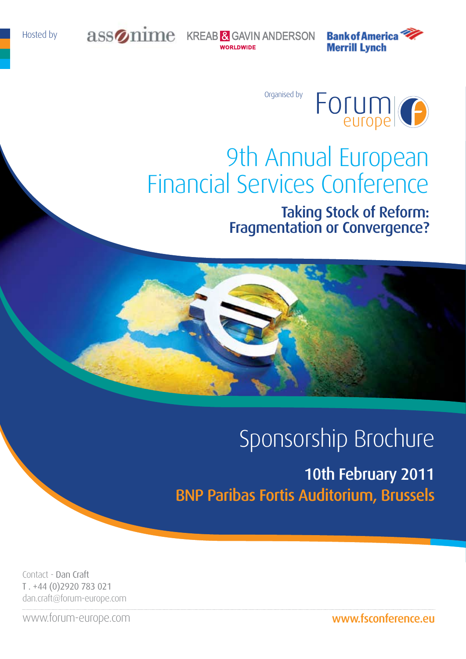

assonime KREAB & GAVIN ANDERSON **WORLDWIDE** 

**Bank of America Merrill Lynch** 

Organised by



# 9th Annual European Financial Services Conference Taking Stock of Reform:

Fragmentation or Convergence?

# Sponsorship Brochure

10th February 2011 BNP Paribas Fortis Auditorium, Brussels

Contact - Dan Craft T . +44 (0)2920 783 021 dan.craft@forum-europe.com

www.forum-europe.com

www.fsconference.eu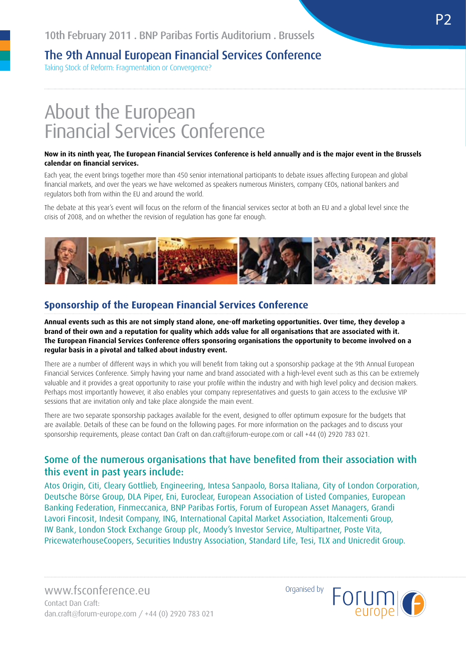Taking Stock of Reform: Fragmentation or Convergence?

## About the European Financial Services Conference

#### **Now in its ninth year, The European Financial Services Conference is held annually and is the major event in the Brussels calendar on financial services.**

Each year, the event brings together more than 450 senior international participants to debate issues affecting European and global financial markets, and over the years we have welcomed as speakers numerous Ministers, company CEOs, national bankers and regulators both from within the EU and around the world.

The debate at this year's event will focus on the reform of the financial services sector at both an EU and a global level since the crisis of 2008, and on whether the revision of regulation has gone far enough.



### **Sponsorship of the European Financial Services Conference**

**Annual events such as this are not simply stand alone, one-off marketing opportunities. Over time, they develop a brand of their own and a reputation for quality which adds value for all organisations that are associated with it. The European Financial Services Conference offers sponsoring organisations the opportunity to become involved on a regular basis in a pivotal and talked about industry event.**

There are a number of different ways in which you will benefit from taking out a sponsorship package at the 9th Annual European Financial Services Conference. Simply having your name and brand associated with a high-level event such as this can be extremely valuable and it provides a great opportunity to raise your profile within the industry and with high level policy and decision makers. Perhaps most importantly however, it also enables your company representatives and guests to gain access to the exclusive VIP sessions that are invitation only and take place alongside the main event.

There are two separate sponsorship packages available for the event, designed to offer optimum exposure for the budgets that are available. Details of these can be found on the following pages. For more information on the packages and to discuss your sponsorship requirements, please contact Dan Craft on dan.craft@forum-europe.com or call +44 (0) 2920 783 021.

### Some of the numerous organisations that have benefited from their association with this event in past years include:

Atos Origin, Citi, Cleary Gottlieb, Engineering, Intesa Sanpaolo, Borsa Italiana, City of London Corporation, Deutsche Börse Group, DLA Piper, Eni, Euroclear, European Association of Listed Companies, European Banking Federation, Finmeccanica, BNP Paribas Fortis, Forum of European Asset Managers, Grandi Lavori Fincosit, Indesit Company, ING, International Capital Market Association, Italcementi Group, IW Bank, London Stock Exchange Group plc, Moody's Investor Service, Multipartner, Poste Vita, PricewaterhouseCoopers, Securities Industry Association, Standard Life, Tesi, TLX and Unicredit Group.

Organised by

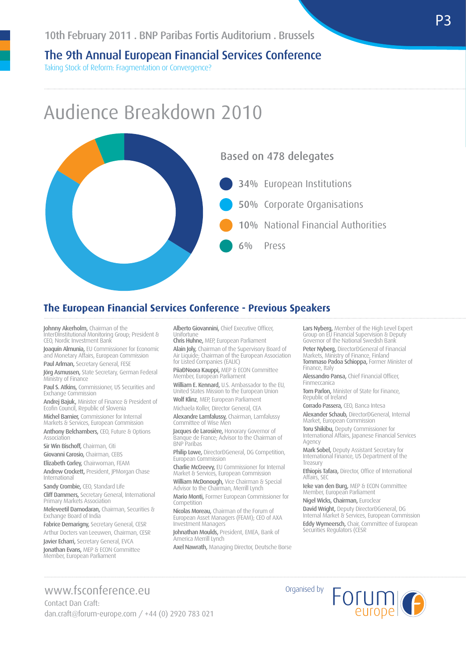Taking Stock of Reform: Fragmentation or Convergence?

## Audience Breakdown 2010



#### **The European Financial Services Conference - Previous Speakers**

**Johnny Akerholm,** Chairman of the<br>InterÐInstitutional Monitoring Group; President & CEO, Nordic Investment Bank

Joaquín Almunia, EU Commissioner for Economic and Monetary Affairs, European Commission

Paul Arlman, Secretary General, FESE

Jörg Asmussen, State Secretary, German Federal Ministry of Finance

Paul S. Atkins, Commissioner, US Securities and Exchange Commission

**Andrej Bajuk,** Minister of Finance & President of<br>Ecofin Council, Republic of Slovenia

Michel Barnier, Commissioner for Internal Markets & Services, European Commission Anthony Belchambers, CEO, Future & Options Association

Sir Win Bischoff, Chairman, Citi

Giovanni Carosio, Chairman, CEBS

Elizabeth Corley, Chairwoman, FEAM Andrew Crockett, President, JPMorgan Chase International

Sandy Crombie, CEO, Standard Life Cliff Dammers, Secretary General, International Primary Markets Association

Meleveetil Damodaran, Chairman, Securities & Exchange Board of India

Fabrice Demarigny, Secretary General, CESR Arthur Docters van Leeuwen, Chairman, CESR

Javier Echarri, Secretary General, EVCA

**Jonathan Evans,** MEP & ECON Committee<br>Member, European Parliament

Alberto Giovannini, Chief Executive Officer, Unifortune Chris Huhne, MEP, European Parliament

Alain Joly, Chairman of the Supervisory Board of Air Liquide; Chairman of the European Association for Listed Companies (EALIC)

Piia<sup>ĐNoora</sup> Kauppi, MEP & ECON Committee Member, European Parliament

William E. Kennard, U.S. Ambassador to the EU. United States Mission to the European Union

Wolf Klinz, MEP, European Parliament Michaela Koller, Director General, CEA

Alexandre Lamfalussy, Chairman, Lamfalussy Committee of Wise Men

**Jacques de Larosière,** Honorary Governor of<br>Banque de France; Advisor to the Chairman of BNP Paribas

Philip Lowe, DirectorDGeneral, DG Competition, European Commission

Charlie McCreevy, EU Commissioner for Internal Market & Services, European Commission

William McDonough, Vice Chairman & Special Advisor to the Chairman, Merrill Lynch Mario Monti, Former European Commissioner for

Competition Nicolas Moreau, Chairman of the Forum of

European Asset Managers (FEAM); CEO of AXA Investment Managers

Johnathan Moulds, President, EMEA, Bank of America Merrill Lynch

Axel Nawrath, Managing Director, Deutsche Borse

Lars Nyberg, Member of the High Level Expert Group on EU Financial Supervision & Deputy Governor of the National Swedish Bank

**Peter Nyberg, Director** DGeneral of Financial<br>Markets, Ministry of Finance, Finland stry of Finance, Finland Tommaso Padoa Schioppa, Former Minister of Finance, Italy

Alessandro Pansa, Chief Financial Officer, Finmeccanica

Tom Parlon, Minister of State for Finance, Republic of Ireland

Corrado Passera, CEO, Banca Intesa Alexander Schaub, DirectorDGeneral, Internal Market, European Commission

Toru Shikibu, Deputy Commissioner for International Affairs, Japanese Financial Services Agency

Mark Sobel, Deputy Assistant Secretary for International Finance, US Department of the Treasury

Ethiopis Tafara, Director, Office of International Affairs, SEC

Ieke van den Burg, MEP & ECON Committee Member, European Parliament

Nigel Wicks, Chairman, Euroclear David Wright, Deputy DirectorDGeneral, DG Internal Market & Services, European Commission

Eddy Wymeersch, Chair, Committee of European Securities Regulators (CESR

## www.fsconference.eu

Contact Dan Craft: dan.craft@forum-europe.com / +44 (0) 2920 783 021 Organised by

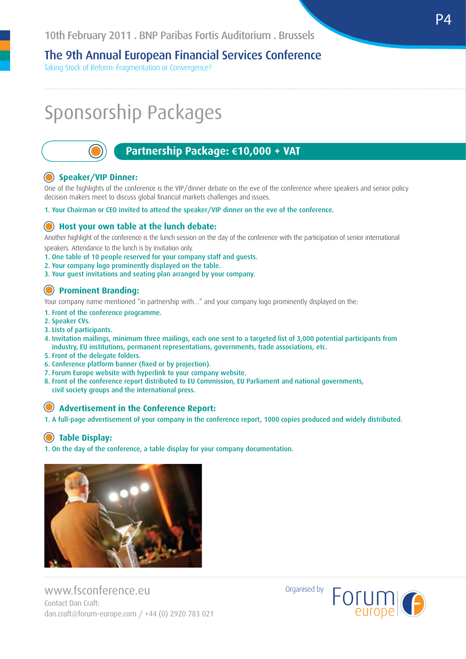Taking Stock of Reform: Fragmentation or Convergence?

## Sponsorship Packages



## **Partnership Package: €10,000 + VAT**

#### **Speaker/VIP Dinner:**

One of the highlights of the conference is the VIP/dinner debate on the eve of the conference where speakers and senior policy decision makers meet to discuss global financial markets challenges and issues.

1. Your Chairman or CEO invited to attend the speaker/VIP dinner on the eve of the conference.

#### **Host your own table at the lunch debate:**

Another highlight of the conference is the lunch session on the day of the conference with the participation of senior international speakers. Attendance to the lunch is by invitation only.

1. One table of 10 people reserved for your company staff and guests.

- 2. Your company logo prominently displayed on the table.
- 3. Your guest invitations and seating plan arranged by your company.

#### **Prominent Branding:**

Your company name mentioned "in partnership with…" and your company logo prominently displayed on the:

- 1. Front of the conference programme.
- 2. Speaker CVs.
- 3. Lists of participants.
- 4. Invitation mailings, minimum three mailings, each one sent to a targeted list of 3,000 potential participants from industry, EU institutions, permanent representations, governments, trade associations, etc.
- 5. Front of the delegate folders.
- 6. Conference platform banner (fixed or by projection).
- 7. Forum Europe website with hyperlink to your company website.
- 8. Front of the conference report distributed to EU Commission, EU Parliament and national governments, civil society groups and the international press.

#### **Advertisement in the Conference Report:**

1. A full-page advertisement of your company in the conference report, 1000 copies produced and widely distributed.

#### **Table Display:**

1. On the day of the conference, a table display for your company documentation.



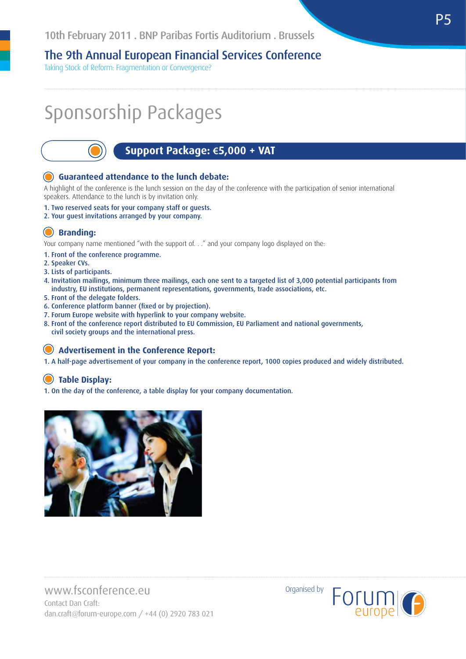Taking Stock of Reform: Fragmentation or Convergence?

## Sponsorship Packages

### **Support Package: €5,000 + VAT**

#### **Guaranteed attendance to the lunch debate:**

A highlight of the conference is the lunch session on the day of the conference with the participation of senior international speakers. Attendance to the lunch is by invitation only.

- 1. Two reserved seats for your company staff or guests.
- 2. Your guest invitations arranged by your company.

#### **Branding:**

Your company name mentioned "with the support of. . ." and your company logo displayed on the:

1. Front of the conference programme.

- 2. Speaker CVs.
- 3. Lists of participants.
- 4. Invitation mailings, minimum three mailings, each one sent to a targeted list of 3,000 potential participants from industry, EU institutions, permanent representations, governments, trade associations, etc.
- 5. Front of the delegate folders.
- 6. Conference platform banner (fixed or by projection).
- 7. Forum Europe website with hyperlink to your company website.
- 8. Front of the conference report distributed to EU Commission, EU Parliament and national governments, civil society groups and the international press.

#### **Advertisement in the Conference Report:**

1. A half-page advertisement of your company in the conference report, 1000 copies produced and widely distributed.

## **Table Display:**

1. On the day of the conference, a table display for your company documentation.